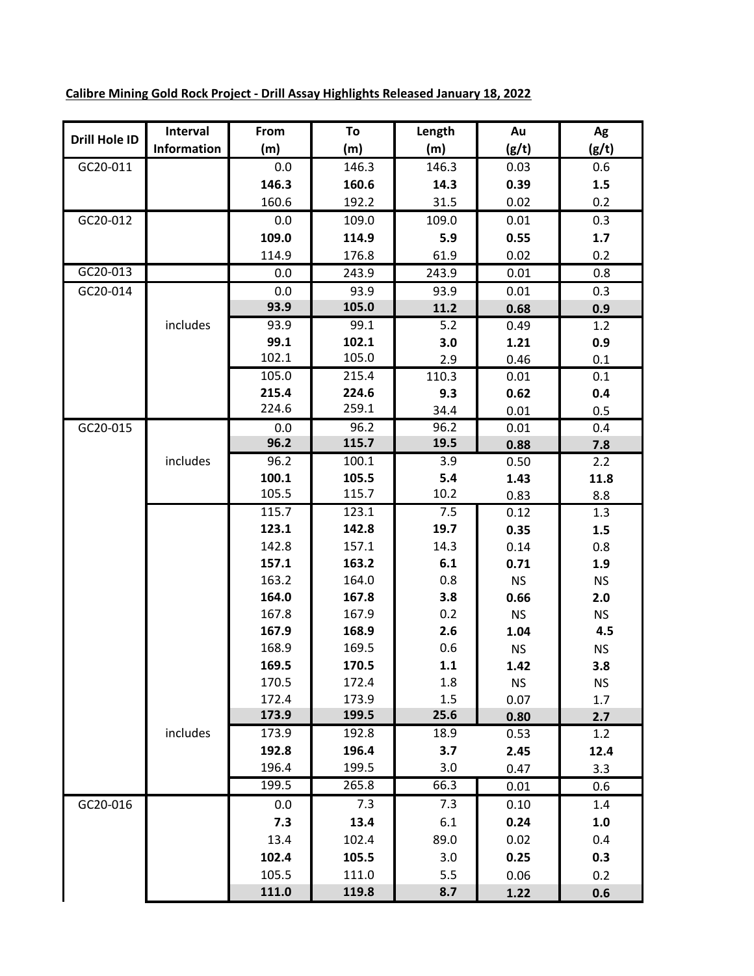| Drill Hole ID | Interval    | From  | To    | Length | Au        | Ag        |
|---------------|-------------|-------|-------|--------|-----------|-----------|
|               | Information | (m)   | (m)   | (m)    | (g/t)     | (g/t)     |
| GC20-011      |             | 0.0   | 146.3 | 146.3  | 0.03      | 0.6       |
|               |             | 146.3 | 160.6 | 14.3   | 0.39      | 1.5       |
|               |             | 160.6 | 192.2 | 31.5   | 0.02      | 0.2       |
| GC20-012      |             | 0.0   | 109.0 | 109.0  | 0.01      | 0.3       |
|               |             | 109.0 | 114.9 | 5.9    | 0.55      | 1.7       |
|               |             | 114.9 | 176.8 | 61.9   | 0.02      | 0.2       |
| GC20-013      |             | 0.0   | 243.9 | 243.9  | 0.01      | 0.8       |
| GC20-014      |             | 0.0   | 93.9  | 93.9   | 0.01      | 0.3       |
|               |             | 93.9  | 105.0 | 11.2   | 0.68      | 0.9       |
|               | includes    | 93.9  | 99.1  | 5.2    | 0.49      | 1.2       |
|               |             | 99.1  | 102.1 | 3.0    | 1.21      | 0.9       |
|               |             | 102.1 | 105.0 | 2.9    | 0.46      | 0.1       |
|               |             | 105.0 | 215.4 | 110.3  | 0.01      | 0.1       |
|               |             | 215.4 | 224.6 | 9.3    | 0.62      | 0.4       |
|               |             | 224.6 | 259.1 | 34.4   | 0.01      | 0.5       |
| GC20-015      |             | 0.0   | 96.2  | 96.2   | 0.01      | 0.4       |
|               |             | 96.2  | 115.7 | 19.5   | 0.88      | 7.8       |
|               | includes    | 96.2  | 100.1 | 3.9    | 0.50      | 2.2       |
|               |             | 100.1 | 105.5 | 5.4    | 1.43      | 11.8      |
|               |             | 105.5 | 115.7 | 10.2   | 0.83      | 8.8       |
|               |             | 115.7 | 123.1 | 7.5    | 0.12      | 1.3       |
|               |             | 123.1 | 142.8 | 19.7   | 0.35      | 1.5       |
|               |             | 142.8 | 157.1 | 14.3   | 0.14      | 0.8       |
|               |             | 157.1 | 163.2 | 6.1    | 0.71      | 1.9       |
|               |             | 163.2 | 164.0 | 0.8    | <b>NS</b> | <b>NS</b> |
|               |             | 164.0 | 167.8 | 3.8    | 0.66      | 2.0       |
|               |             | 167.8 | 167.9 | 0.2    | <b>NS</b> | <b>NS</b> |
|               |             | 167.9 | 168.9 | 2.6    | 1.04      | 4.5       |
|               |             | 168.9 | 169.5 | 0.6    | <b>NS</b> | <b>NS</b> |
|               |             | 169.5 | 170.5 | 1.1    | 1.42      | 3.8       |
|               |             | 170.5 | 172.4 | 1.8    | <b>NS</b> | <b>NS</b> |
|               |             | 172.4 | 173.9 | 1.5    | 0.07      | 1.7       |
|               |             | 173.9 | 199.5 | 25.6   | 0.80      | 2.7       |
|               | includes    | 173.9 | 192.8 | 18.9   | 0.53      | 1.2       |
|               |             | 192.8 | 196.4 | 3.7    | 2.45      | 12.4      |
|               |             | 196.4 | 199.5 | 3.0    | 0.47      | 3.3       |
|               |             | 199.5 | 265.8 | 66.3   | 0.01      | 0.6       |
| GC20-016      |             | 0.0   | 7.3   | 7.3    | 0.10      | 1.4       |
|               |             | 7.3   | 13.4  | 6.1    | 0.24      | 1.0       |
|               |             | 13.4  | 102.4 | 89.0   | 0.02      | 0.4       |
|               |             | 102.4 | 105.5 | 3.0    | 0.25      | 0.3       |
|               |             | 105.5 | 111.0 | 5.5    | 0.06      | 0.2       |
|               |             | 111.0 | 119.8 | 8.7    | 1.22      | 0.6       |

**Calibre Mining Gold Rock Project - Drill Assay Highlights Released January 18, 2022**